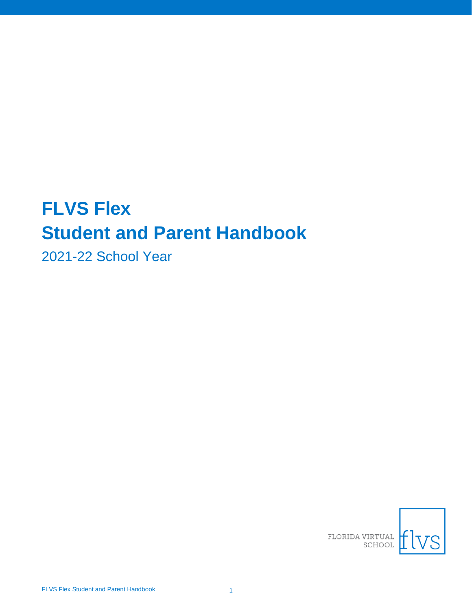# **FLVS Flex Student and Parent Handbook**

2021-22 School Year

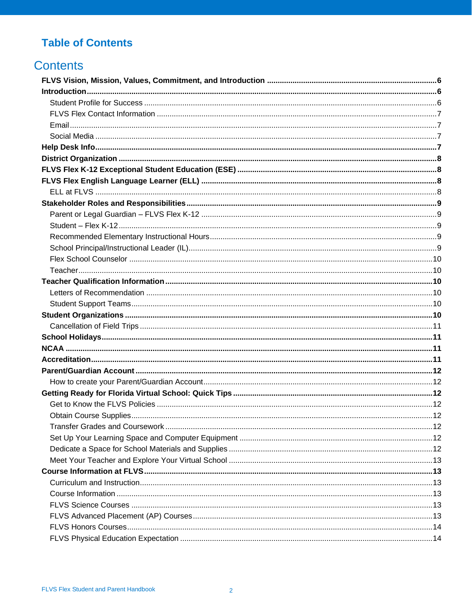## **Table of Contents**

## **Contents**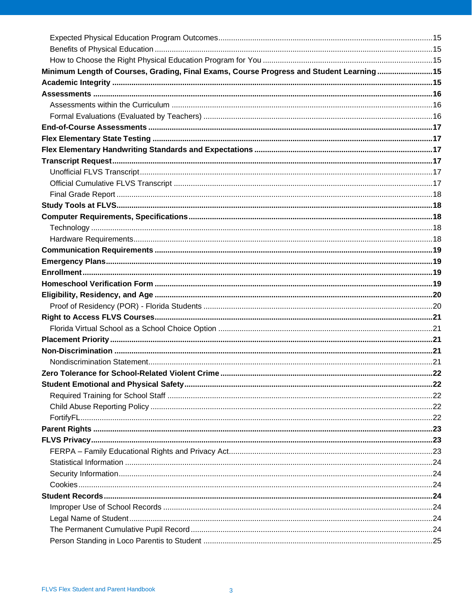| Minimum Length of Courses, Grading, Final Exams, Course Progress and Student Learning15 |  |
|-----------------------------------------------------------------------------------------|--|
|                                                                                         |  |
|                                                                                         |  |
|                                                                                         |  |
|                                                                                         |  |
|                                                                                         |  |
|                                                                                         |  |
|                                                                                         |  |
|                                                                                         |  |
|                                                                                         |  |
|                                                                                         |  |
|                                                                                         |  |
|                                                                                         |  |
|                                                                                         |  |
|                                                                                         |  |
|                                                                                         |  |
|                                                                                         |  |
|                                                                                         |  |
|                                                                                         |  |
|                                                                                         |  |
|                                                                                         |  |
|                                                                                         |  |
|                                                                                         |  |
|                                                                                         |  |
|                                                                                         |  |
|                                                                                         |  |
|                                                                                         |  |
|                                                                                         |  |
|                                                                                         |  |
|                                                                                         |  |
|                                                                                         |  |
|                                                                                         |  |
|                                                                                         |  |
|                                                                                         |  |
|                                                                                         |  |
|                                                                                         |  |
|                                                                                         |  |
|                                                                                         |  |
|                                                                                         |  |
|                                                                                         |  |
|                                                                                         |  |
|                                                                                         |  |
|                                                                                         |  |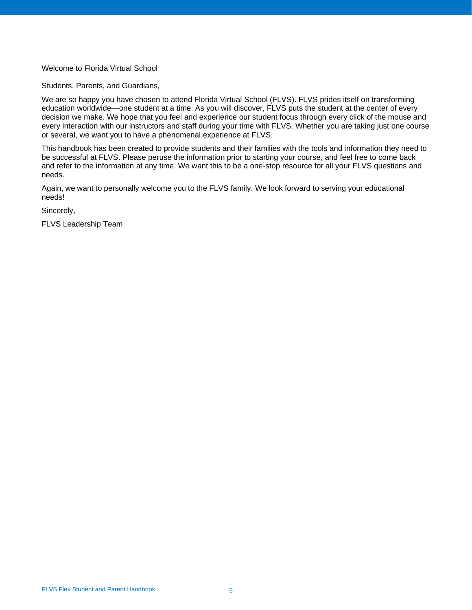#### Welcome to Florida Virtual School

Students, Parents, and Guardians,

We are so happy you have chosen to attend Florida Virtual School (FLVS). FLVS prides itself on transforming education worldwide—one student at a time. As you will discover, FLVS puts the student at the center of every decision we make. We hope that you feel and experience our student focus through every click of the mouse and every interaction with our instructors and staff during your time with FLVS. Whether you are taking just one course or several, we want you to have a phenomenal experience at FLVS.

This handbook has been created to provide students and their families with the tools and information they need to be successful at FLVS. Please peruse the information prior to starting your course, and feel free to come back and refer to the information at any time. We want this to be a one-stop resource for all your FLVS questions and needs.

Again, we want to personally welcome you to the FLVS family. We look forward to serving your educational needs!

Sincerely,

FLVS Leadership Team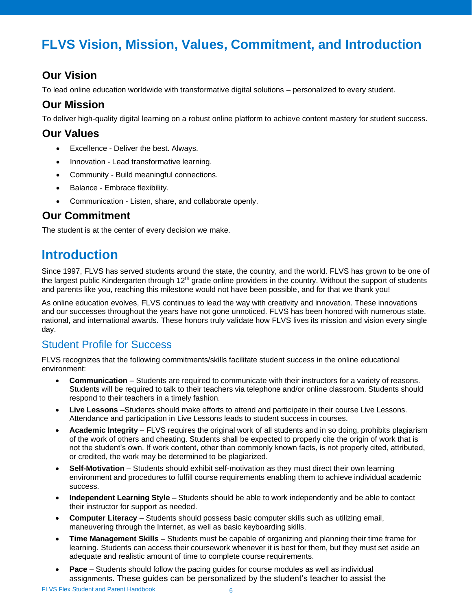## <span id="page-5-0"></span>**FLVS Vision, Mission, Values, Commitment, and Introduction**

## **Our Vision**

To lead online education worldwide with transformative digital solutions – personalized to every student.

## **Our Mission**

To deliver high-quality digital learning on a robust online platform to achieve content mastery for student success.

#### **Our Values**

- Excellence Deliver the best. Always.
- Innovation Lead transformative learning.
- Community Build meaningful connections.
- Balance Embrace flexibility.
- Communication Listen, share, and collaborate openly.

### **Our Commitment**

The student is at the center of every decision we make.

## <span id="page-5-1"></span>**Introduction**

Since 1997, FLVS has served students around the state, the country, and the world. FLVS has grown to be one of the largest public Kindergarten through 12<sup>th</sup> grade online providers in the country. Without the support of students and parents like you, reaching this milestone would not have been possible, and for that we thank you!

As online education evolves, FLVS continues to lead the way with creativity and innovation. These innovations and our successes throughout the years have not gone unnoticed. FLVS has been honored with numerous state, national, and international awards. These honors truly validate how FLVS lives its mission and vision every single day.

#### <span id="page-5-2"></span>Student Profile for Success

FLVS recognizes that the following commitments/skills facilitate student success in the online educational environment:

- **Communication**  Students are required to communicate with their instructors for a variety of reasons. Students will be required to talk to their teachers via telephone and/or online classroom. Students should respond to their teachers in a timely fashion.
- **Live Lessons** –Students should make efforts to attend and participate in their course Live Lessons. Attendance and participation in Live Lessons leads to student success in courses.
- **Academic Integrity** FLVS requires the original work of all students and in so doing, prohibits plagiarism of the work of others and cheating. Students shall be expected to properly cite the origin of work that is not the student's own. If work content, other than commonly known facts, is not properly cited, attributed, or credited, the work may be determined to be plagiarized.
- **Self-Motivation**  Students should exhibit self-motivation as they must direct their own learning environment and procedures to fulfill course requirements enabling them to achieve individual academic success.
- **Independent Learning Style** Students should be able to work independently and be able to contact their instructor for support as needed.
- **Computer Literacy**  Students should possess basic computer skills such as utilizing email, maneuvering through the Internet, as well as basic keyboarding skills.
- **Time Management Skills**  Students must be capable of organizing and planning their time frame for learning. Students can access their coursework whenever it is best for them, but they must set aside an adequate and realistic amount of time to complete course requirements.
- **Pace**  Students should follow the pacing guides for course modules as well as individual assignments. These guides can be personalized by the student's teacher to assist the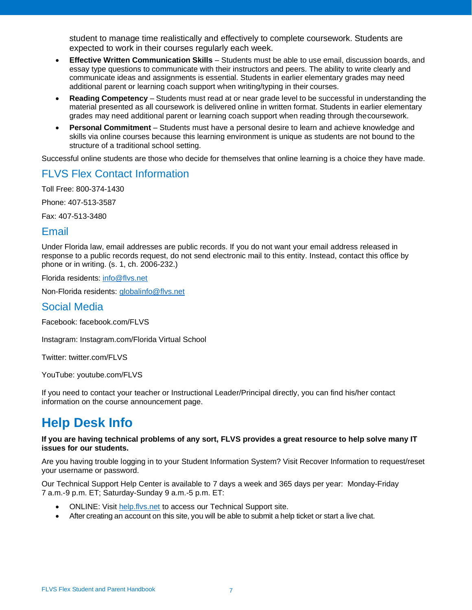student to manage time realistically and effectively to complete coursework. Students are expected to work in their courses regularly each week.

- **Effective Written Communication Skills**  Students must be able to use email, discussion boards, and essay type questions to communicate with their instructors and peers. The ability to write clearly and communicate ideas and assignments is essential. Students in earlier elementary grades may need additional parent or learning coach support when writing/typing in their courses.
- **Reading Competency** Students must read at or near grade level to be successful in understanding the material presented as all coursework is delivered online in written format. Students in earlier elementary grades may need additional parent or learning coach support when reading through thecoursework.
- **Personal Commitment**  Students must have a personal desire to learn and achieve knowledge and skills via online courses because this learning environment is unique as students are not bound to the structure of a traditional school setting.

Successful online students are those who decide for themselves that online learning is a choice they have made.

#### <span id="page-6-0"></span>FLVS Flex Contact Information

Toll Free: 800-374-1430

Phone: 407-513-3587

Fax: 407-513-3480

#### <span id="page-6-1"></span>Email

Under Florida law, email addresses are public records. If you do not want your email address released in response to a public records request, do not send electronic mail to this entity. Instead, contact this office by phone or in writing. (s. 1, ch. 2006-232.)

Florida residents: [info@flvs.net](mailto:info@flvs.net)

Non-Florida residents: [globalinfo@flvs.net](mailto:globalinfo@flvs.net)

#### <span id="page-6-2"></span>Social Media

Facebook: facebook.com/FLVS

Instagram: Instagram.com/Florida Virtual School

Twitter: twitter.com/FLVS

YouTube: youtube.com/FLVS

If you need to contact your teacher or Instructional Leader/Principal directly, you can find his/her contact information on the course announcement page.

## <span id="page-6-3"></span>**Help Desk Info**

#### **If you are having technical problems of any sort, FLVS provides a great resource to help solve many IT issues for our students.**

Are you having trouble logging in to your Student Information System? Visit Recover Information to request/reset your username or password.

Our Technical Support Help Center is available to 7 days a week and 365 days per year: Monday-Friday 7 a.m.-9 p.m. ET; Saturday-Sunday 9 a.m.-5 p.m. ET:

- ONLINE: Visit [help.flvs.net](http://help.flvs.net/) to access our Technical Support site.
- After creating an account on this site, you will be able to submit a help ticket or start a live chat.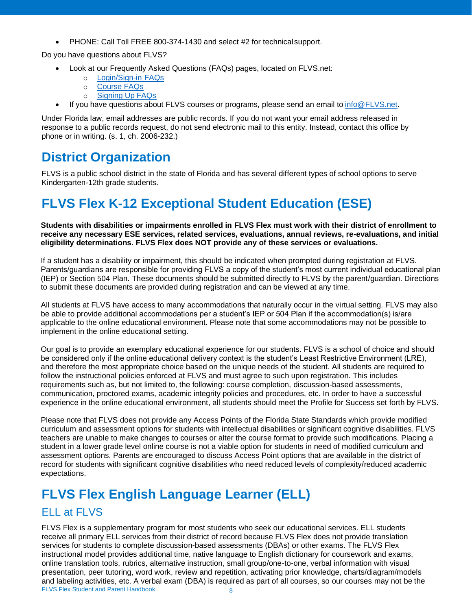• PHONE: Call Toll FREE 800-374-1430 and select #2 for technicalsupport.

Do you have questions about FLVS?

- Look at our Frequently Asked Questions (FAQs) pages, located on FLVS.net:
	- o [Login/Sign-in](http://www.flvs.net/areas/faqs/Pages/LoginFAQs.aspx) FAQs
	- o [Course](http://www.flvs.net/areas/faqs/Pages/CourseFAQs.aspx) FAQs
	- o [Signing Up](http://www.flvs.net/areas/faqs/Pages/SignUp-FAQs.aspx) FAQs
- If you have questions about FLVS courses or programs, please send an email to [info@FLVS.net.](mailto:info@FLVS.net)

Under Florida law, email addresses are public records. If you do not want your email address released in response to a public records request, do not send electronic mail to this entity. Instead, contact this office by phone or in writing. (s. 1, ch. 2006-232.)

## <span id="page-7-0"></span>**District Organization**

FLVS is a public school district in the state of Florida and has several different types of school options to serve Kindergarten-12th grade students.

## <span id="page-7-1"></span>**FLVS Flex K-12 Exceptional Student Education (ESE)**

**Students with disabilities or impairments enrolled in FLVS Flex must work with their district of enrollment to receive any necessary ESE services, related services, evaluations, annual reviews, re-evaluations, and initial eligibility determinations. FLVS Flex does NOT provide any of these services or evaluations.** 

If a student has a disability or impairment, this should be indicated when prompted during registration at FLVS. Parents/guardians are responsible for providing FLVS a copy of the student's most current individual educational plan (IEP) or Section 504 Plan. These documents should be submitted directly to FLVS by the parent/guardian. Directions to submit these documents are provided during registration and can be viewed at any time.

All students at FLVS have access to many accommodations that naturally occur in the virtual setting. FLVS may also be able to provide additional accommodations per a student's IEP or 504 Plan if the accommodation(s) is/are applicable to the online educational environment. Please note that some accommodations may not be possible to implement in the online educational setting.

Our goal is to provide an exemplary educational experience for our students. FLVS is a school of choice and should be considered only if the online educational delivery context is the student's Least Restrictive Environment (LRE), and therefore the most appropriate choice based on the unique needs of the student. All students are required to follow the instructional policies enforced at FLVS and must agree to such upon registration. This includes requirements such as, but not limited to, the following: course completion, discussion-based assessments, communication, proctored exams, academic integrity policies and procedures, etc. In order to have a successful experience in the online educational environment, all students should meet the Profile for Success set forth by FLVS.

Please note that FLVS does not provide any Access Points of the Florida State Standards which provide modified curriculum and assessment options for students with intellectual disabilities or significant cognitive disabilities. FLVS teachers are unable to make changes to courses or alter the course format to provide such modifications. Placing a student in a lower grade level online course is not a viable option for students in need of modified curriculum and assessment options. Parents are encouraged to discuss Access Point options that are available in the district of record for students with significant cognitive disabilities who need reduced levels of complexity/reduced academic expectations.

## <span id="page-7-2"></span>**FLVS Flex English Language Learner (ELL)**

## <span id="page-7-3"></span>ELL at FLVS

FLVS Flex Student and Parent Handbook 8 FLVS Flex is a supplementary program for most students who seek our educational services. ELL students receive all primary ELL services from their district of record because FLVS Flex does not provide translation services for students to complete discussion-based assessments (DBAs) or other exams. The FLVS Flex instructional model provides additional time, native language to English dictionary for coursework and exams, online translation tools, rubrics, alternative instruction, small group/one-to-one, verbal information with visual presentation, peer tutoring, word work, review and repetition, activating prior knowledge, charts/diagram/models and labeling activities, etc. A verbal exam (DBA) is required as part of all courses, so our courses may not be the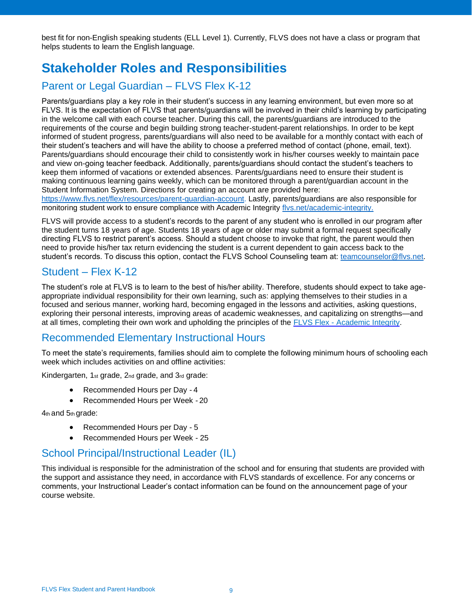best fit for non-English speaking students (ELL Level 1). Currently, FLVS does not have a class or program that helps students to learn the English language.

## <span id="page-8-0"></span>**Stakeholder Roles and Responsibilities**

## <span id="page-8-1"></span>Parent or Legal Guardian – FLVS Flex K-12

Parents/guardians play a key role in their student's success in any learning environment, but even more so at FLVS. It is the expectation of FLVS that parents/guardians will be involved in their child's learning by participating in the welcome call with each course teacher. During this call, the parents/guardians are introduced to the requirements of the course and begin building strong teacher-student-parent relationships. In order to be kept informed of student progress, parents/guardians will also need to be available for a monthly contact with each of their student's teachers and will have the ability to choose a preferred method of contact (phone, email, text). Parents/guardians should encourage their child to consistently work in his/her courses weekly to maintain pace and view on-going teacher feedback. Additionally, parents/guardians should contact the student's teachers to keep them informed of vacations or extended absences. Parents/guardians need to ensure their student is making continuous learning gains weekly, which can be monitored through a parent/guardian account in the Student Information System. Directions for creating an account are provided here:

[https://www.flvs.net/flex/resources/parent-guardian-account. L](https://www.flvs.net/parents/Pages/ParentGuardianAccount.aspx)astly, parents/guardians are also responsible for monitoring student work to ensure compliance with Academic Integrity [flvs.net/academic-integrity.](https://www.flvs.net/myflvs/student-handbook/academic-integrity)

FLVS will provide access to a student's records to the parent of any student who is enrolled in our program after the student turns 18 years of age. Students 18 years of age or older may submit a formal request specifically directing FLVS to restrict parent's access. Should a student choose to invoke that right, the parent would then need to provide his/her tax return evidencing the student is a current dependent to gain access back to the student's records. To discuss this option, contact the FLVS School Counseling team at: [teamcounselor@flvs.net.](mailto:teamcounselor@flvs.net)

### <span id="page-8-2"></span>Student – Flex K-12

The student's role at FLVS is to learn to the best of his/her ability. Therefore, students should expect to take ageappropriate individual responsibility for their own learning, such as: applying themselves to their studies in a focused and serious manner, working hard, becoming engaged in the lessons and activities, asking questions, exploring their personal interests, improving areas of academic weaknesses, and capitalizing on strengths—and at all times, completing their own work and upholding the principles of the FLVS Flex - [Academic Integrity.](http://www.flvs.net/myFLVS/student-handbook/Pages/AcademicIntegrity.aspx)

## <span id="page-8-3"></span>Recommended Elementary Instructional Hours

To meet the state's requirements, families should aim to complete the following minimum hours of schooling each week which includes activities on and offline activities:

Kindergarten, 1st grade, 2nd grade, and 3rd grade:

- Recommended Hours per Day -4
- Recommended Hours per Week -20

4th and 5th grade:

- Recommended Hours per Day 5
- Recommended Hours per Week 25

#### <span id="page-8-4"></span>School Principal/Instructional Leader (IL)

This individual is responsible for the administration of the school and for ensuring that students are provided with the support and assistance they need, in accordance with FLVS standards of excellence. For any concerns or comments, your Instructional Leader's contact information can be found on the announcement page of your course website.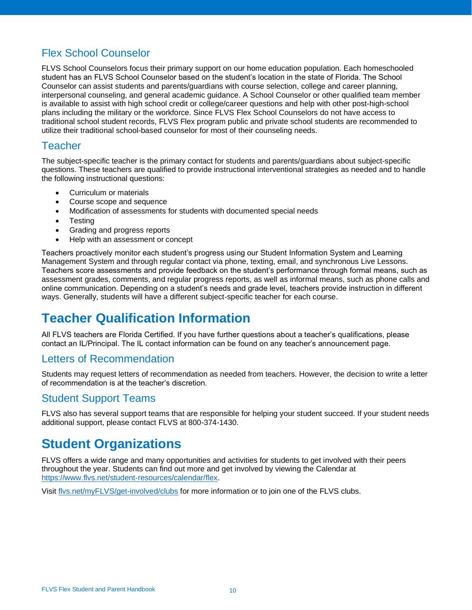## <span id="page-9-0"></span>Flex School Counselor

FLVS School Counselors focus their primary support on our home education population. Each homeschooled student has an FLVS School Counselor based on the student's location in the state of Florida. The School Counselor can assist students and parents/guardians with course selection, college and career planning, interpersonal counseling, and general academic guidance. A School Counselor or other qualified team member is available to assist with high school credit or college/career questions and help with other post-high-school plans including the military or the workforce. Since FLVS Flex School Counselors do not have access to traditional school student records, FLVS Flex program public and private school students are recommended to utilize their traditional school-based counselor for most of their counseling needs.

#### <span id="page-9-1"></span>Teacher

The subject-specific teacher is the primary contact for students and parents/guardians about subject-specific questions. These teachers are qualified to provide instructional interventional strategies as needed and to handle the following instructional questions:

- Curriculum or materials
- Course scope and sequence
- Modification of assessments for students with documented special needs
- Testing
- Grading and progress reports
- Help with an assessment or concept

Teachers proactively monitor each student's progress using our Student Information System and Learning Management System and through regular contact via phone, texting, email, and synchronous Live Lessons. Teachers score assessments and provide feedback on the student's performance through formal means, such as assessment grades, comments, and regular progress reports, as well as informal means, such as phone calls and online communication. Depending on a student's needs and grade level, teachers provide instruction in different ways. Generally, students will have a different subject-specific teacher for each course.

## <span id="page-9-2"></span>**Teacher Qualification Information**

All FLVS teachers are Florida Certified. If you have further questions about a teacher's qualifications, please contact an IL/Principal. The IL contact information can be found on any teacher's announcement page.

### <span id="page-9-3"></span>Letters of Recommendation

Students may request letters of recommendation as needed from teachers. However, the decision to write a letter of recommendation is at the teacher's discretion.

#### <span id="page-9-4"></span>Student Support Teams

FLVS also has several support teams that are responsible for helping your student succeed. If your student needs additional support, please contact FLVS at 800-374-1430.

## <span id="page-9-5"></span>**Student Organizations**

FLVS offers a wide range and many opportunities and activities for students to get involved with their peers throughout the year. Students can find out more and get involved by viewing the Calendar at [https://www.flvs.net/student-resources/calendar/flex.](https://www.flvs.net/student-resources/calendar/flex)

Visi[t flvs.net/myFLVS/get-involved/clubs](http://www.flvs.net/myFLVS/get-involved/clubs/Pages/default.aspx) for more information or to join one of the FLVS clubs.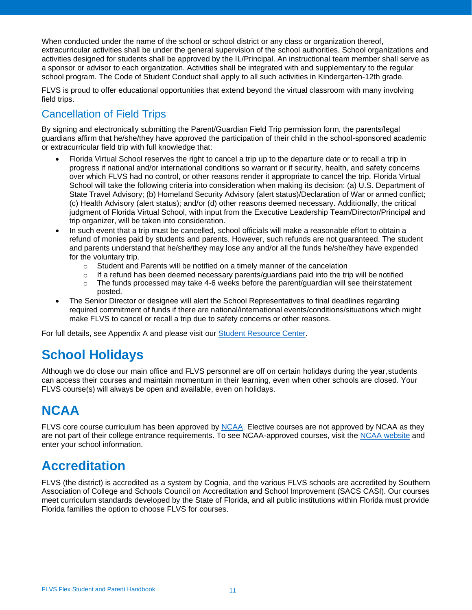When conducted under the name of the school or school district or any class or organization thereof, extracurricular activities shall be under the general supervision of the school authorities. School organizations and activities designed for students shall be approved by the IL/Principal. An instructional team member shall serve as a sponsor or advisor to each organization. Activities shall be integrated with and supplementary to the regular school program. The Code of Student Conduct shall apply to all such activities in Kindergarten-12th grade.

FLVS is proud to offer educational opportunities that extend beyond the virtual classroom with many involving field trips.

### <span id="page-10-0"></span>Cancellation of Field Trips

By signing and electronically submitting the Parent/Guardian Field Trip permission form, the parents/legal guardians affirm that he/she/they have approved the participation of their child in the school-sponsored academic or extracurricular field trip with full knowledge that:

- Florida Virtual School reserves the right to cancel a trip up to the departure date or to recall a trip in progress if national and/or international conditions so warrant or if security, health, and safety concerns over which FLVS had no control, or other reasons render it appropriate to cancel the trip. Florida Virtual School will take the following criteria into consideration when making its decision: (a) U.S. Department of State Travel Advisory; (b) Homeland Security Advisory (alert status)/Declaration of War or armed conflict; (c) Health Advisory (alert status); and/or (d) other reasons deemed necessary. Additionally, the critical judgment of Florida Virtual School, with input from the Executive Leadership Team/Director/Principal and trip organizer, will be taken into consideration.
- In such event that a trip must be cancelled, school officials will make a reasonable effort to obtain a refund of monies paid by students and parents. However, such refunds are not guaranteed. The student and parents understand that he/she/they may lose any and/or all the funds he/she/they have expended for the voluntary trip.
	- o Student and Parents will be notified on a timely manner of the cancelation
	- $\circ$  If a refund has been deemed necessary parents/guardians paid into the trip will be notified
	- $\circ$  The funds processed may take 4-6 weeks before the parent/guardian will see their statement posted.
- The Senior Director or designee will alert the School Representatives to final deadlines regarding required commitment of funds if there are national/international events/conditions/situations which might make FLVS to cancel or recall a trip due to safety concerns or other reasons.

For full details, see Appendix A and please visit our [Student Resource Center.](https://www.flvs.net/student-resources/)

## <span id="page-10-1"></span>**School Holidays**

Although we do close our main office and FLVS personnel are off on certain holidays during the year, students can access their courses and maintain momentum in their learning, even when other schools are closed. Your FLVS course(s) will always be open and available, even on holidays.

## <span id="page-10-2"></span>**NCAA**

FLVS core course curriculum has been approved by [NCAA. E](https://web1.ncaa.org/hsportal/exec/hsAction)lective courses are not approved by NCAA as they are not part of their college entrance requirements. To see NCAA-approved courses, visit the [NCAA website](https://web1.ncaa.org/hsportal/exec/hsAction) and enter your school information.

## <span id="page-10-3"></span>**Accreditation**

FLVS (the district) is accredited as a system by Cognia, and the various FLVS schools are accredited by Southern Association of College and Schools Council on Accreditation and School Improvement (SACS CASI). Our courses meet curriculum standards developed by the State of Florida, and all public institutions within Florida must provide Florida families the option to choose FLVS for courses.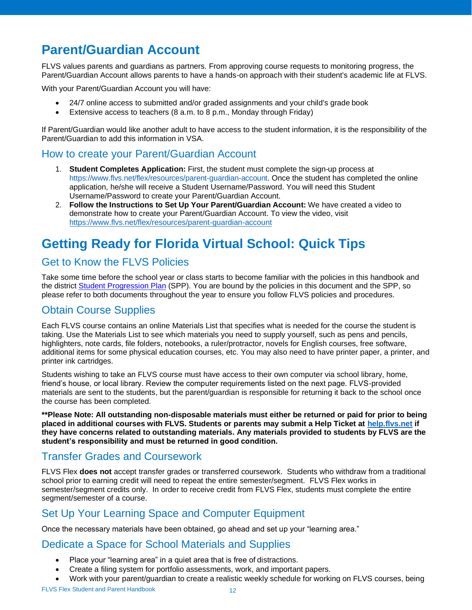## <span id="page-11-0"></span>**Parent/Guardian Account**

FLVS values parents and guardians as partners. From approving course requests to monitoring progress, the Parent/Guardian Account allows parents to have a hands-on approach with their student's academic life at FLVS.

With your Parent/Guardian Account you will have:

- 24/7 online access to submitted and/or graded assignments and your child's grade book
- Extensive access to teachers (8 a.m. to 8 p.m., Monday through Friday)

If Parent/Guardian would like another adult to have access to the student information, it is the responsibility of the Parent/Guardian to add this information in VSA.

#### <span id="page-11-1"></span>How to create your Parent/Guardian Account

- 1. **Student Completes Application:** First, the student must complete the sign-up process at https://www.flvs.net/flex/resources/parent-guardian-account. Once the student has completed the online application, he/she will receive a Student Username/Password. You will need this Student Username/Password to create your Parent/Guardian Account.
- 2. **Follow the Instructions to Set Up Your Parent/Guardian Account:** We have created a video to demonstrate how to create your Parent/Guardian Account. To view the video, visit https://www.flvs.net/flex/resources/parent-guardian-account

## <span id="page-11-2"></span>**Getting Ready for Florida Virtual School: Quick Tips**

### <span id="page-11-3"></span>Get to Know the FLVS Policies

Take some time before the school year or class starts to become familiar with the policies in this handbook and the district [Student Progression Plan](https://www.flvs.net/docs/default-source/district/student-progression-plan.pdf?sfvrsn=d3437f2a_10) (SPP). You are bound by the policies in this document and the SPP, so please refer to both documents throughout the year to ensure you follow FLVS policies and procedures.

### <span id="page-11-4"></span>Obtain Course Supplies

Each FLVS course contains an online Materials List that specifies what is needed for the course the student is taking. Use the Materials List to see which materials you need to supply yourself, such as pens and pencils, highlighters, note cards, file folders, notebooks, a ruler/protractor, novels for English courses, free software, additional items for some physical education courses, etc. You may also need to have printer paper, a printer, and printer ink cartridges.

Students wishing to take an FLVS course must have access to their own computer via school library, home, friend's house, or local library. Review the computer requirements listed on the next page. FLVS-provided materials are sent to the students, but the parent/guardian is responsible for returning it back to the school once the course has been completed.

**\*\*Please Note: All outstanding non-disposable materials must either be returned or paid for prior to being placed in additional courses with FLVS. Students or parents may submit a Help Ticket at [help.flvs.net](https://help.flvs.net/) if they have concerns related to outstanding materials. Any materials provided to students by FLVS are the student's responsibility and must be returned in good condition.**

## <span id="page-11-5"></span>Transfer Grades and Coursework

FLVS Flex **does not** accept transfer grades or transferred coursework. Students who withdraw from a traditional school prior to earning credit will need to repeat the entire semester/segment. FLVS Flex works in semester/segment credits only. In order to receive credit from FLVS Flex, students must complete the entire segment/semester of a course.

### <span id="page-11-6"></span>Set Up Your Learning Space and Computer Equipment

Once the necessary materials have been obtained, go ahead and set up your "learning area."

### <span id="page-11-7"></span>Dedicate a Space for School Materials and Supplies

- Place your "learning area" in a quiet area that is free of distractions.
- Create a filing system for portfolio assessments, work, and important papers.
- Work with your parent/guardian to create a realistic weekly schedule for working on FLVS courses, being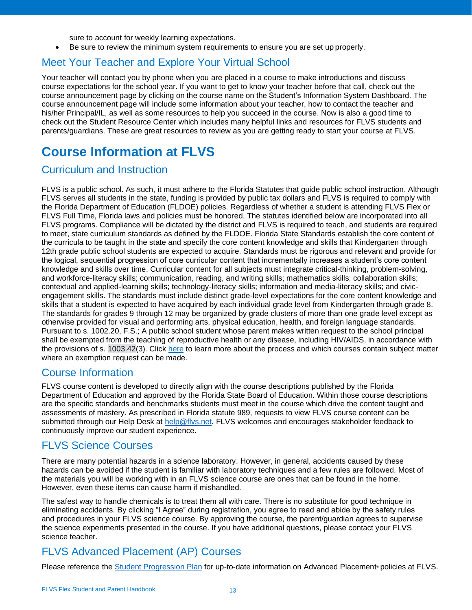sure to account for weekly learning expectations.

• Be sure to review the minimum system requirements to ensure you are set up properly.

#### <span id="page-12-0"></span>Meet Your Teacher and Explore Your Virtual School

Your teacher will contact you by phone when you are placed in a course to make introductions and discuss course expectations for the school year. If you want to get to know your teacher before that call, check out the course announcement page by clicking on the course name on the Student's Information System Dashboard. The course announcement page will include some information about your teacher, how to contact the teacher and his/her Principal/IL, as well as some resources to help you succeed in the course. Now is also a good time to check out the Student Resource Center which includes many helpful links and resources for FLVS students and parents/guardians. These are great resources to review as you are getting ready to start your course at FLVS.

## <span id="page-12-1"></span>**Course Information at FLVS**

#### <span id="page-12-2"></span>Curriculum and Instruction

FLVS is a public school. As such, it must adhere to the Florida Statutes that guide public school instruction. Although FLVS serves all students in the state, funding is provided by public tax dollars and FLVS is required to comply with the Florida Department of Education (FLDOE) policies. Regardless of whether a student is attending FLVS Flex or FLVS Full Time, Florida laws and policies must be honored. The statutes identified below are incorporated into all FLVS programs. Compliance will be dictated by the district and FLVS is required to teach, and students are required to meet, state curriculum standards as defined by the FLDOE. Florida State Standards establish the core content of the curricula to be taught in the state and specify the core content knowledge and skills that Kindergarten through 12th grade public school students are expected to acquire. Standards must be rigorous and relevant and provide for the logical, sequential progression of core curricular content that incrementally increases a student's core content knowledge and skills over time. Curricular content for all subjects must integrate critical-thinking, problem-solving, and workforce-literacy skills; communication, reading, and writing skills; mathematics skills; collaboration skills; contextual and applied-learning skills; technology-literacy skills; information and media-literacy skills; and civicengagement skills. The standards must include distinct grade-level expectations for the core content knowledge and skills that a student is expected to have acquired by each individual grade level from Kindergarten through grade 8. The standards for grades 9 through 12 may be organized by grade clusters of more than one grade level except as otherwise provided for visual and performing arts, physical education, health, and foreign language standards. Pursuant to s. 1002.20, F.S.; A public school student whose parent makes written request to the school principal shall be exempted from the teaching of reproductive health or any disease, including HIV/AIDS, in accordance with the provisions of s. 1003.42(3). Click [here](https://www.flvs.net/landing-pages/parental-process-for-exemption-request/) to learn more about the process and which courses contain subject matter where an exemption request can be made.

#### <span id="page-12-3"></span>Course Information

FLVS course content is developed to directly align with the course descriptions published by the Florida Department of Education and approved by the Florida State Board of Education. Within those course descriptions are the specific standards and benchmarks students must meet in the course which drive the content taught and assessments of mastery. As prescribed in Florida statute 989, requests to view FLVS course content can be submitted through our Help Desk at [help@flvs.net. F](mailto:help@flvs.net)LVS welcomes and encourages stakeholder feedback to continuously improve our student experience.

### <span id="page-12-4"></span>FLVS Science Courses

There are many potential hazards in a science laboratory. However, in general, accidents caused by these hazards can be avoided if the student is familiar with laboratory techniques and a few rules are followed. Most of the materials you will be working with in an FLVS science course are ones that can be found in the home. However, even these items can cause harm if mishandled.

The safest way to handle chemicals is to treat them all with care. There is no substitute for good technique in eliminating accidents. By clicking "I Agree" during registration, you agree to read and abide by the safety rules and procedures in your FLVS science course. By approving the course, the parent/guardian agrees to supervise the science experiments presented in the course. If you have additional questions, please contact your FLVS science teacher.

## <span id="page-12-5"></span>FLVS Advanced Placement (AP) Courses

Please reference the [Student Progression Plan](https://flvs.net/about/instruction/student-progression) for up-to-date information on Advanced Placement® policies at FLVS.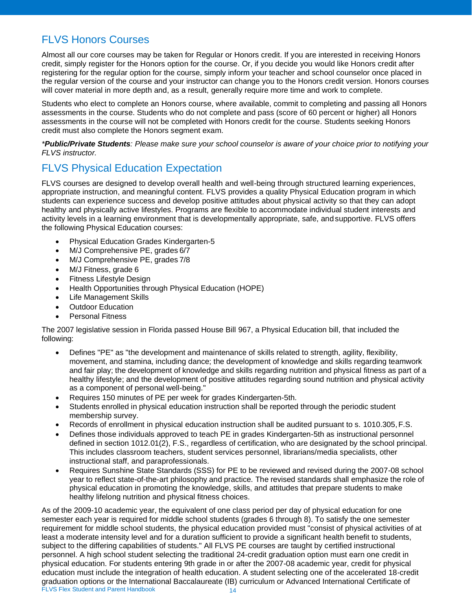## <span id="page-13-0"></span>FLVS Honors Courses

Almost all our core courses may be taken for Regular or Honors credit. If you are interested in receiving Honors credit, simply register for the Honors option for the course. Or, if you decide you would like Honors credit after registering for the regular option for the course, simply inform your teacher and school counselor once placed in the regular version of the course and your instructor can change you to the Honors credit version. Honors courses will cover material in more depth and, as a result, generally require more time and work to complete.

Students who elect to complete an Honors course, where available, commit to completing and passing all Honors assessments in the course. Students who do not complete and pass (score of 60 percent or higher) all Honors assessments in the course will not be completed with Honors credit for the course. Students seeking Honors credit must also complete the Honors segment exam.

*\*Public/Private Students: Please make sure your school counselor is aware of your choice prior to notifying your FLVS instructor.*

## <span id="page-13-1"></span>FLVS Physical Education Expectation

FLVS courses are designed to develop overall health and well-being through structured learning experiences, appropriate instruction, and meaningful content. FLVS provides a quality Physical Education program in which students can experience success and develop positive attitudes about physical activity so that they can adopt healthy and physically active lifestyles. Programs are flexible to accommodate individual student interests and activity levels in a learning environment that is developmentally appropriate, safe, andsupportive. FLVS offers the following Physical Education courses:

- Physical Education Grades Kindergarten-5
- M/J Comprehensive PE, grades 6/7
- M/J Comprehensive PE, grades 7/8
- M/J Fitness, grade 6
- **Fitness Lifestyle Design**
- Health Opportunities through Physical Education (HOPE)
- **Life Management Skills**
- Outdoor Education
- Personal Fitness

The 2007 legislative session in Florida passed House Bill 967, a Physical Education bill, that included the following:

- Defines "PE" as "the development and maintenance of skills related to strength, agility, flexibility, movement, and stamina, including dance; the development of knowledge and skills regarding teamwork and fair play; the development of knowledge and skills regarding nutrition and physical fitness as part of a healthy lifestyle; and the development of positive attitudes regarding sound nutrition and physical activity as a component of personal well-being."
- Requires 150 minutes of PE per week for grades Kindergarten-5th.
- Students enrolled in physical education instruction shall be reported through the periodic student membership survey.
- Records of enrollment in physical education instruction shall be audited pursuant to s. 1010.305,F.S.
- Defines those individuals approved to teach PE in grades Kindergarten-5th as instructional personnel defined in section 1012.01(2), F.S., regardless of certification, who are designated by the school principal. This includes classroom teachers, student services personnel, librarians/media specialists, other instructional staff, and paraprofessionals.
- Requires Sunshine State Standards (SSS) for PE to be reviewed and revised during the 2007-08 school year to reflect state-of-the-art philosophy and practice. The revised standards shall emphasize the role of physical education in promoting the knowledge, skills, and attitudes that prepare students to make healthy lifelong nutrition and physical fitness choices.

FLVS Flex Student and Parent Handbook 14 As of the 2009-10 academic year, the equivalent of one class period per day of physical education for one semester each year is required for middle school students (grades 6 through 8). To satisfy the one semester requirement for middle school students, the physical education provided must "consist of physical activities of at least a moderate intensity level and for a duration sufficient to provide a significant health benefit to students, subject to the differing capabilities of students." All FLVS PE courses are taught by certified instructional personnel. A high school student selecting the traditional 24-credit graduation option must earn one credit in physical education. For students entering 9th grade in or after the 2007-08 academic year, credit for physical education must include the integration of health education. A student selecting one of the accelerated 18-credit graduation options or the International Baccalaureate (IB) curriculum or Advanced International Certificate of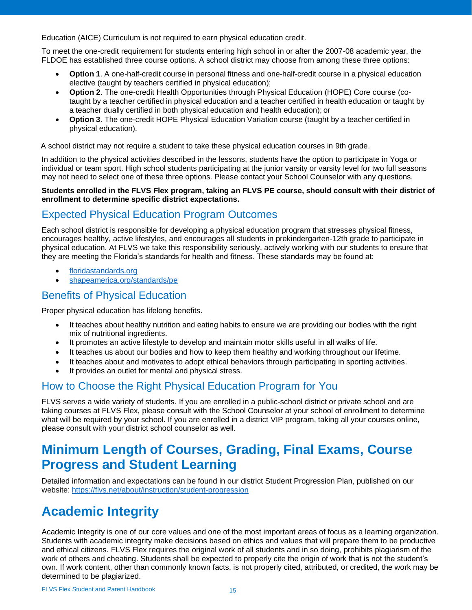Education (AICE) Curriculum is not required to earn physical education credit.

To meet the one-credit requirement for students entering high school in or after the 2007-08 academic year, the FLDOE has established three course options. A school district may choose from among these three options:

- **Option 1**. A one-half-credit course in personal fitness and one-half-credit course in a physical education elective (taught by teachers certified in physical education);
- **Option 2**. The one-credit Health Opportunities through Physical Education (HOPE) Core course (cotaught by a teacher certified in physical education and a teacher certified in health education or taught by a teacher dually certified in both physical education and health education);or
- **Option 3**. The one-credit HOPE Physical Education Variation course (taught by a teacher certified in physical education).

A school district may not require a student to take these physical education courses in 9th grade.

In addition to the physical activities described in the lessons, students have the option to participate in Yoga or individual or team sport. High school students participating at the junior varsity or varsity level for two full seasons may not need to select one of these three options. Please contact your School Counselor with any questions.

#### **Students enrolled in the FLVS Flex program, taking an FLVS PE course, should consult with their district of enrollment to determine specific district expectations.**

### <span id="page-14-0"></span>Expected Physical Education Program Outcomes

Each school district is responsible for developing a physical education program that stresses physical fitness, encourages healthy, active lifestyles, and encourages all students in prekindergarten-12th grade to participate in physical education. At FLVS we take this responsibility seriously, actively working with our students to ensure that they are meeting the Florida's standards for health and fitness. These standards may be found at:

- [floridastandards.org](http://www.cpalms.org/Public/)
- [shapeamerica.org/standards/pe](http://www.shapeamerica.org/standards/pe/)

### <span id="page-14-1"></span>Benefits of Physical Education

Proper physical education has lifelong benefits.

- It teaches about healthy nutrition and eating habits to ensure we are providing our bodies with the right mix of nutritional ingredients.
- It promotes an active lifestyle to develop and maintain motor skills useful in all walks of life.
- It teaches us about our bodies and how to keep them healthy and working throughout our lifetime.
- It teaches about and motivates to adopt ethical behaviors through participating in sporting activities.
- It provides an outlet for mental and physical stress.

### <span id="page-14-2"></span>How to Choose the Right Physical Education Program for You

FLVS serves a wide variety of students. If you are enrolled in a public-school district or private school and are taking courses at FLVS Flex, please consult with the School Counselor at your school of enrollment to determine what will be required by your school. If you are enrolled in a district VIP program, taking all your courses online, please consult with your district school counselor as well.

## <span id="page-14-3"></span>**Minimum Length of Courses, Grading, Final Exams, Course Progress and Student Learning**

Detailed information and expectations can be found in our district Student Progression Plan, published on our website:<https://flvs.net/about/instruction/student-progression>

## <span id="page-14-4"></span>**Academic Integrity**

Academic Integrity is one of our core values and one of the most important areas of focus as a learning organization. Students with academic integrity make decisions based on ethics and values that will prepare them to be productive and ethical citizens. FLVS Flex requires the original work of all students and in so doing, prohibits plagiarism of the work of others and cheating. Students shall be expected to properly cite the origin of work that is not the student's own. If work content, other than commonly known facts, is not properly cited, attributed, or credited, the work may be determined to be plagiarized.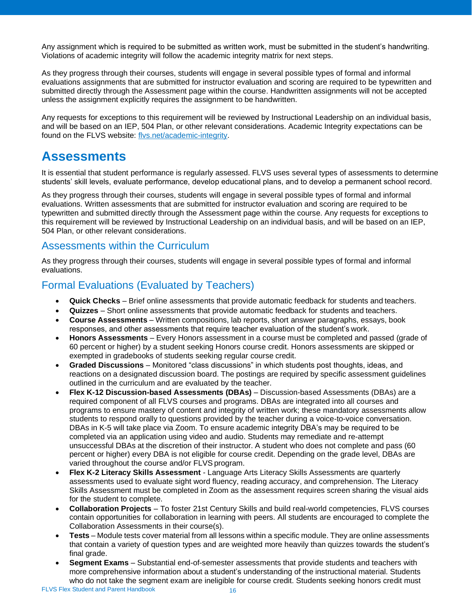Any assignment which is required to be submitted as written work, must be submitted in the student's handwriting. Violations of academic integrity will follow the academic integrity matrix for next steps.

As they progress through their courses, students will engage in several possible types of formal and informal evaluations assignments that are submitted for instructor evaluation and scoring are required to be typewritten and submitted directly through the Assessment page within the course. Handwritten assignments will not be accepted unless the assignment explicitly requires the assignment to be handwritten.

Any requests for exceptions to this requirement will be reviewed by Instructional Leadership on an individual basis, and will be based on an IEP, 504 Plan, or other relevant considerations. Academic Integrity expectations can be found on the FLVS website: [flvs.net/academic-integrity.](https://www.flvs.net/myflvs/student-handbook/academic-integrity)

## <span id="page-15-0"></span>**Assessments**

It is essential that student performance is regularly assessed. FLVS uses several types of assessments to determine students' skill levels, evaluate performance, develop educational plans, and to develop a permanent school record.

As they progress through their courses, students will engage in several possible types of formal and informal evaluations. Written assessments that are submitted for instructor evaluation and scoring are required to be typewritten and submitted directly through the Assessment page within the course. Any requests for exceptions to this requirement will be reviewed by Instructional Leadership on an individual basis, and will be based on an IEP, 504 Plan, or other relevant considerations.

#### <span id="page-15-1"></span>Assessments within the Curriculum

As they progress through their courses, students will engage in several possible types of formal and informal evaluations.

### <span id="page-15-2"></span>Formal Evaluations (Evaluated by Teachers)

- **Quick Checks**  Brief online assessments that provide automatic feedback for students andteachers.
- **Quizzes**  Short online assessments that provide automatic feedback for students and teachers.
- **Course Assessments** Written compositions, lab reports, short answer paragraphs, essays, book responses, and other assessments that require teacher evaluation of the student's work.
- **Honors Assessments** Every Honors assessment in a course must be completed and passed (grade of 60 percent or higher) by a student seeking Honors course credit. Honors assessments are skipped or exempted in gradebooks of students seeking regular course credit.
- **Graded Discussions**  Monitored "class discussions" in which students post thoughts, ideas, and reactions on a designated discussion board. The postings are required by specific assessment guidelines outlined in the curriculum and are evaluated by the teacher.
- **Flex K-12 Discussion-based Assessments (DBAs)**  Discussion-based Assessments (DBAs) are a required component of all FLVS courses and programs. DBAs are integrated into all courses and programs to ensure mastery of content and integrity of written work; these mandatory assessments allow students to respond orally to questions provided by the teacher during a voice-to-voice conversation. DBAs in K-5 will take place via Zoom. To ensure academic integrity DBA's may be required to be completed via an application using video and audio. Students may remediate and re-attempt unsuccessful DBAs at the discretion of their instructor. A student who does not complete and pass (60 percent or higher) every DBA is not eligible for course credit. Depending on the grade level, DBAs are varied throughout the course and/or FLVS program.
- **Flex K-2 Literacy Skills Assessment**  Language Arts Literacy Skills Assessments are quarterly assessments used to evaluate sight word fluency, reading accuracy, and comprehension. The Literacy Skills Assessment must be completed in Zoom as the assessment requires screen sharing the visual aids for the student to complete.
- **Collaboration Projects**  To foster 21st Century Skills and build real-world competencies, FLVS courses contain opportunities for collaboration in learning with peers. All students are encouraged to complete the Collaboration Assessments in their course(s).
- **Tests**  Module tests cover material from all lessons within a specific module. They are online assessments that contain a variety of question types and are weighted more heavily than quizzes towards the student's final grade.
- **Segment Exams**  Substantial end-of-semester assessments that provide students and teachers with more comprehensive information about a student's understanding of the instructional material. Students who do not take the segment exam are ineligible for course credit. Students seeking honors credit must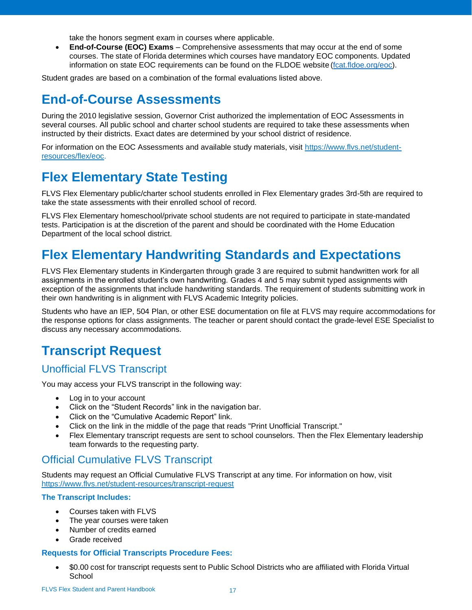take the honors segment exam in courses where applicable.

• **End-of-Course (EOC) Exams** – Comprehensive assessments that may occur at the end of some courses. The state of Florida determines which courses have mandatory EOC components. Updated information on state EOC requirements can be found on the FLDOE website[\(fcat.fldoe.org/eoc\)](http://fcat.fldoe.org/eoc/).

Student grades are based on a combination of the formal evaluations listed above.

## <span id="page-16-0"></span>**End-of-Course Assessments**

During the 2010 legislative session, Governor Crist authorized the implementation of EOC Assessments in several courses. All public school and charter school students are required to take these assessments when instructed by their districts. Exact dates are determined by your school district of residence.

For information on the EOC Assessments and available study materials, visit [https://www.flvs.net/student](https://www.flvs.net/student-resources/flex/eoc)[resources/flex/eoc.](https://www.flvs.net/student-resources/flex/eoc)

## <span id="page-16-1"></span>**Flex Elementary State Testing**

FLVS Flex Elementary public/charter school students enrolled in Flex Elementary grades 3rd-5th are required to take the state assessments with their enrolled school of record.

FLVS Flex Elementary homeschool/private school students are not required to participate in state-mandated tests. Participation is at the discretion of the parent and should be coordinated with the Home Education Department of the local school district.

## <span id="page-16-2"></span>**Flex Elementary Handwriting Standards and Expectations**

FLVS Flex Elementary students in Kindergarten through grade 3 are required to submit handwritten work for all assignments in the enrolled student's own handwriting. Grades 4 and 5 may submit typed assignments with exception of the assignments that include handwriting standards. The requirement of students submitting work in their own handwriting is in alignment with FLVS Academic Integrity policies.

Students who have an IEP, 504 Plan, or other ESE documentation on file at FLVS may require accommodations for the response options for class assignments. The teacher or parent should contact the grade-level ESE Specialist to discuss any necessary accommodations.

## <span id="page-16-3"></span>**Transcript Request**

### <span id="page-16-4"></span>Unofficial FLVS Transcript

You may access your FLVS transcript in the following way:

- Log in to your account
- Click on the "Student Records" link in the navigation bar.
- Click on the "Cumulative Academic Report" link.
- Click on the link in the middle of the page that reads "Print Unofficial Transcript."
- Flex Elementary transcript requests are sent to school counselors. Then the Flex Elementary leadership team forwards to the requesting party.

### <span id="page-16-5"></span>Official Cumulative FLVS Transcript

Students may request an Official Cumulative FLVS Transcript at any time. For information on how, visit <https://www.flvs.net/student-resources/transcript-request>

#### **The Transcript Includes:**

- Courses taken with FLVS
- The year courses were taken
- Number of credits earned
- Grade received

#### **Requests for Official Transcripts Procedure Fees:**

• \$0.00 cost for transcript requests sent to Public School Districts who are affiliated with Florida Virtual **School**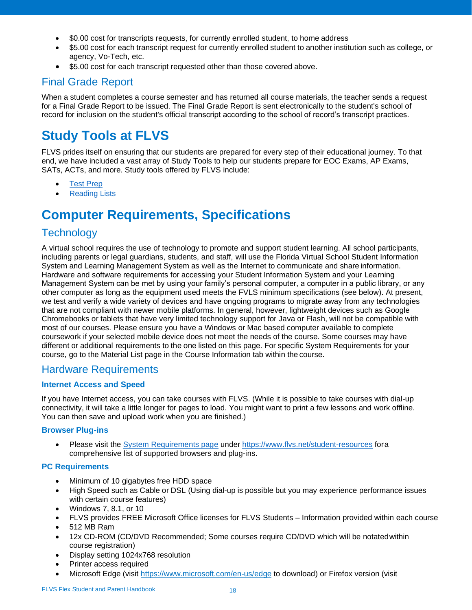- \$0.00 cost for transcripts requests, for currently enrolled student, to home address
- \$5.00 cost for each transcript request for currently enrolled student to another institution such as college, or agency, Vo-Tech, etc.
- \$5.00 cost for each transcript requested other than those covered above.

## <span id="page-17-0"></span>Final Grade Report

When a student completes a course semester and has returned all course materials, the teacher sends a request for a Final Grade Report to be issued. The Final Grade Report is sent electronically to the student's school of record for inclusion on the student's official transcript according to the school of record's transcript practices.

## <span id="page-17-1"></span>**Study Tools at FLVS**

FLVS prides itself on ensuring that our students are prepared for every step of their educational journey. To that end, we have included a vast array of Study Tools to help our students prepare for EOC Exams, AP Exams, SATs, ACTs, and more. Study tools offered by FLVS include:

- Test [Prep](https://www.flvs.net/student-resources/flex/eoc)
- **[Reading](http://www.flvs.net/myFLVS/study-tools/Pages/ReadingLists.aspx) Lists**

## <span id="page-17-2"></span>**Computer Requirements, Specifications**

## <span id="page-17-3"></span>**Technology**

A virtual school requires the use of technology to promote and support student learning. All school participants, including parents or legal guardians, students, and staff, will use the Florida Virtual School Student Information System and Learning Management System as well as the Internet to communicate and shareinformation. Hardware and software requirements for accessing your Student Information System and your Learning Management System can be met by using your family's personal computer, a computer in a public library, or any other computer as long as the equipment used meets the FVLS minimum specifications (see below). At present, we test and verify a wide variety of devices and have ongoing programs to migrate away from any technologies that are not compliant with newer mobile platforms. In general, however, lightweight devices such as Google Chromebooks or tablets that have very limited technology support for Java or Flash, will not be compatible with most of our courses. Please ensure you have a Windows or Mac based computer available to complete coursework if your selected mobile device does not meet the needs of the course. Some courses may have different or additional requirements to the one listed on this page. For specific System Requirements for your course, go to the Material List page in the Course Information tab within thecourse.

### <span id="page-17-4"></span>Hardware Requirements

#### **Internet Access and Speed**

If you have Internet access, you can take courses with FLVS. (While it is possible to take courses with dial-up connectivity, it will take a little longer for pages to load. You might want to print a few lessons and work offline. You can then save and upload work when you are finished.)

#### **Browser Plug-ins**

Please visit the [System Requirements page](https://www.flvs.net/student-resources/system-requirements) under <https://www.flvs.net/student-resources> fora comprehensive list of supported browsers and plug-ins.

#### **PC Requirements**

- Minimum of 10 gigabytes free HDD space
- High Speed such as Cable or DSL (Using dial-up is possible but you may experience performance issues with certain course features)
- Windows 7, 8.1, or 10
- FLVS provides FREE Microsoft Office licenses for FLVS Students Information provided within each course
- 512 MB Ram
- 12x CD-ROM (CD/DVD Recommended; Some courses require CD/DVD which will be notatedwithin course registration)
- Display setting 1024x768 resolution
- Printer access required
- Microsoft Edge (visit<https://www.microsoft.com/en-us/edge> to download) or Firefox version (visi[t](http://www.mozilla.com/en-US/firefox/)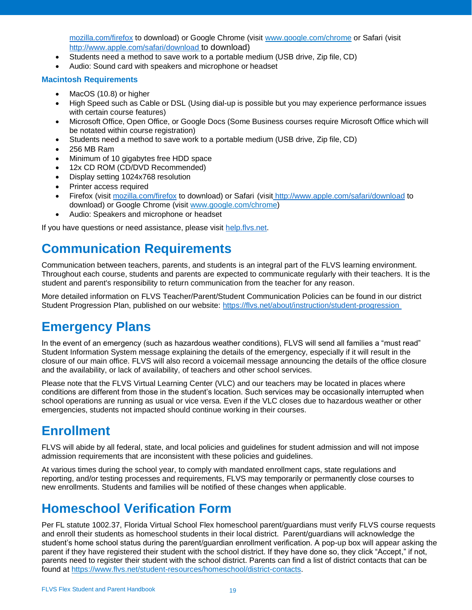[mozilla.com/firefox](http://www.mozilla.com/en-US/firefox/) to download) or Google Chrome (visit [www.google.com/chrome](http://www.google.com/chrome) or Safari (visi[t](http://www.apple.com/safari/download) <http://www.apple.com/safari/download> to download)

- Students need a method to save work to a portable medium (USB drive, Zip file, CD)
- Audio: Sound card with speakers and microphone or headset

#### **Macintosh Requirements**

- MacOS (10.8) or higher
- High Speed such as Cable or DSL (Using dial-up is possible but you may experience performance issues with certain course features)
- Microsoft Office, Open Office, or Google Docs (Some Business courses require Microsoft Office which will be notated within course registration)
- Students need a method to save work to a portable medium (USB drive, Zip file, CD)
- 256 MB Ram
- Minimum of 10 gigabytes free HDD space
- 12x CD ROM (CD/DVD Recommended)
- Display setting 1024x768 resolution
- Printer access required
- Firefox (visit [mozilla.com/firefox](http://www.mozilla.com/en-US/firefox/) to download) or Safari (visit <http://www.apple.com/safari/download> to download) or Google Chrome (visit [www.google.com/chrome\)](http://www.google.com/chrome)
- Audio: Speakers and microphone or headset

If you have questions or need assistance, please visit [help.flvs.net.](https://flvsprd.service-now.com/help/)

## <span id="page-18-0"></span>**Communication Requirements**

Communication between teachers, parents, and students is an integral part of the FLVS learning environment. Throughout each course, students and parents are expected to communicate regularly with their teachers. It is the student and parent's responsibility to return communication from the teacher for any reason.

More detailed information on FLVS Teacher/Parent/Student Communication Policies can be found in our district Student Progression Plan, published on our website:<https://flvs.net/about/instruction/student-progression>

## <span id="page-18-1"></span>**Emergency Plans**

In the event of an emergency (such as hazardous weather conditions), FLVS will send all families a "must read" Student Information System message explaining the details of the emergency, especially if it will result in the closure of our main office. FLVS will also record a voicemail message announcing the details of the office closure and the availability, or lack of availability, of teachers and other school services.

Please note that the FLVS Virtual Learning Center (VLC) and our teachers may be located in places where conditions are different from those in the student's location. Such services may be occasionally interrupted when school operations are running as usual or vice versa. Even if the VLC closes due to hazardous weather or other emergencies, students not impacted should continue working in their courses.

## <span id="page-18-2"></span>**Enrollment**

FLVS will abide by all federal, state, and local policies and guidelines for student admission and will not impose admission requirements that are inconsistent with these policies and guidelines.

At various times during the school year, to comply with mandated enrollment caps, state regulations and reporting, and/or testing processes and requirements, FLVS may temporarily or permanently close courses to new enrollments. Students and families will be notified of these changes when applicable.

## <span id="page-18-3"></span>**Homeschool Verification Form**

Per FL statute 1002.37, Florida Virtual School Flex homeschool parent/guardians must verify FLVS course requests and enroll their students as homeschool students in their local district. Parent/guardians will acknowledge the student's home school status during the parent/guardian enrollment verification. A pop-up box will appear asking the parent if they have registered their student with the school district. If they have done so, they click "Accept," if not, parents need to register their student with the school district. Parents can find a list of district contacts that can be found at [https://www.flvs.net/student-resources/homeschool/district-contacts.](https://www.flvs.net/student-resources/homeschool/district-contacts)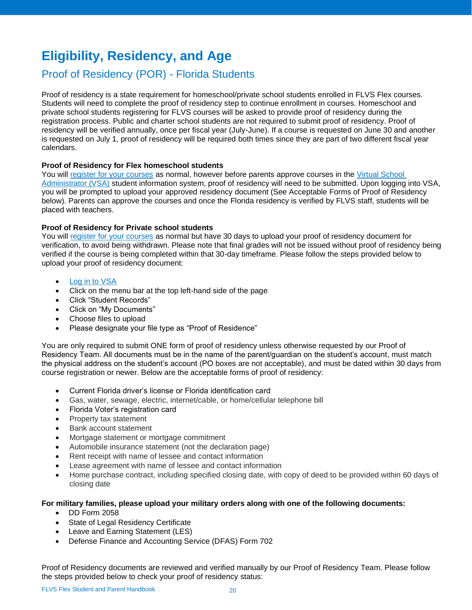## <span id="page-19-0"></span>**Eligibility, Residency, and Age**

### <span id="page-19-1"></span>Proof of Residency (POR) - Florida Students

Proof of residency is a state requirement for homeschool/private school students enrolled in FLVS Flex courses. Students will need to complete the proof of residency step to continue enrollment in courses. Homeschool and private school students registering for FLVS courses will be asked to provide proof of residency during the registration process. Public and charter school students are not required to submit proof of residency. Proof of residency will be verified annually, once per fiscal year (July-June). If a course is requested on June 30 and another is requested on July 1, proof of residency will be required both times since they are part of two different fiscal year calendars.

#### **Proof of Residency for Flex homeschool students**

You will [register for your courses](https://www.flvs.net/flex/enroll) as normal, however before parents approve courses in the [Virtual School](https://vsa.flvs.net/)  [Administrator \(VSA\)](https://vsa.flvs.net/) student information system, proof of residency will need to be submitted. Upon logging into VSA, you will be prompted to upload your approved residency document (See Acceptable Forms of Proof of Residency below). Parents can approve the courses and once the Florida residency is verified by FLVS staff, students will be placed with teachers.

#### **Proof of Residency for Private school students**

You will [register for your courses](https://www.flvs.net/flex/enroll) as normal but have 30 days to upload your proof of residency document for verification, to avoid being withdrawn. Please note that final grades will not be issued without proof of residency being verified if the course is being completed within that 30-day timeframe. Please follow the steps provided below to upload your proof of residency document:

- Log in [to VSA](https://vsa.flvs.net/)
- Click on the menu bar at the top left-hand side of the page
- Click "Student Records"
- Click on "My Documents"
- Choose files to upload
- Please designate your file type as "Proof of Residence"

You are only required to submit ONE form of proof of residency unless otherwise requested by our Proof of Residency Team. All documents must be in the name of the parent/guardian on the student's account, must match the physical address on the student's account (PO boxes are not acceptable), and must be dated within 30 days from course registration or newer. Below are the acceptable forms of proof of residency:

- Current Florida driver's license or Florida identification card
- Gas, water, sewage, electric, internet/cable, or home/cellular telephone bill
- Florida Voter's registration card
- Property tax statement
- Bank account statement
- Mortgage statement or mortgage commitment
- Automobile insurance statement (not the declaration page)
- Rent receipt with name of lessee and contact information
- Lease agreement with name of lessee and contact information
- Home purchase contract, including specified closing date, with copy of deed to be provided within 60 days of closing date

#### **For military families, please upload your military orders along with one of the following documents:**

- DD Form 2058
- State of Legal Residency Certificate
- Leave and Earning Statement (LES)
- Defense Finance and Accounting Service (DFAS) Form 702

Proof of Residency documents are reviewed and verified manually by our Proof of Residency Team. Please follow the steps provided below to check your proof of residency status: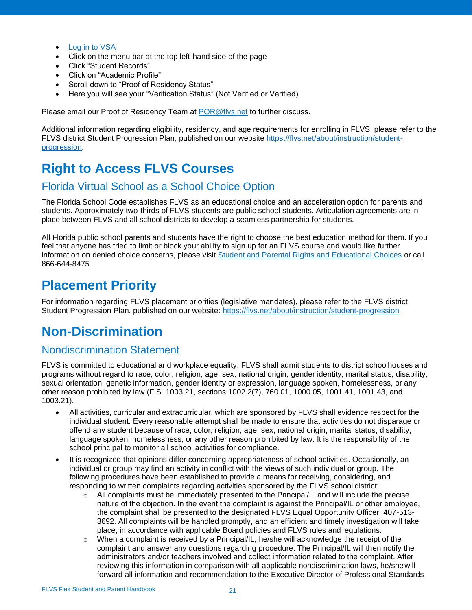- [Log in to VSA](https://vsa.flvs.net/)
- Click on the menu bar at the top left-hand side of the page
- Click "Student Records"
- Click on "Academic Profile"
- Scroll down to "Proof of Residency Status"
- Here you will see your "Verification Status" (Not Verified or Verified)

Please email our Proof of Residency Team at [POR@flvs.net](mailto:POR@flvs.net) to further discuss.

Additional information regarding eligibility, residency, and age requirements for enrolling in FLVS, please refer to the FLVS district Student Progression Plan, published on our website [https://flvs.net/about/instruction/student](https://flvs.net/about/instruction/student-progression)[progression.](https://flvs.net/about/instruction/student-progression)

## <span id="page-20-0"></span>**Right to Access FLVS Courses**

#### <span id="page-20-1"></span>Florida Virtual School as a School Choice Option

The Florida School Code establishes FLVS as an educational choice and an acceleration option for parents and students. Approximately two-thirds of FLVS students are public school students. Articulation agreements are in place between FLVS and all school districts to develop a seamless partnership for students.

All Florida public school parents and students have the right to choose the best education method for them. If you feel that anyone has tried to limit or block your ability to sign up for an FLVS course and would like further information on denied choice concerns, please visit [Student and Parental Rights and Educational Choices](http://www.leg.state.fl.us/Statutes/index.cfm?App_mode=Display_Statute&URL=1000-1099/1002/Sections/1002.37.html) or call 866-644-8475.

## <span id="page-20-2"></span>**Placement Priority**

For information regarding FLVS placement priorities (legislative mandates), please refer to the FLVS district Student Progression Plan, published on our website:<https://flvs.net/about/instruction/student-progression>

## <span id="page-20-3"></span>**Non-Discrimination**

#### <span id="page-20-4"></span>Nondiscrimination Statement

FLVS is committed to educational and workplace equality. FLVS shall admit students to district schoolhouses and programs without regard to race, color, religion, age, sex, national origin, gender identity, marital status, disability, sexual orientation, genetic information, gender identity or expression, language spoken, homelessness, or any other reason prohibited by law (F.S. 1003.21, sections 1002.2(7), 760.01, 1000.05, 1001.41, 1001.43, and 1003.21).

- All activities, curricular and extracurricular, which are sponsored by FLVS shall evidence respect for the individual student. Every reasonable attempt shall be made to ensure that activities do not disparage or offend any student because of race, color, religion, age, sex, national origin, marital status, disability, language spoken, homelessness, or any other reason prohibited by law. It is the responsibility of the school principal to monitor all school activities for compliance.
- It is recognized that opinions differ concerning appropriateness of school activities. Occasionally, an individual or group may find an activity in conflict with the views of such individual or group. The following procedures have been established to provide a means for receiving, considering, and responding to written complaints regarding activities sponsored by the FLVS schooldistrict:
	- $\circ$  All complaints must be immediately presented to the Principal/IL and will include the precise nature of the objection. In the event the complaint is against the Principal/IL or other employee, the complaint shall be presented to the designated FLVS Equal Opportunity Officer, 407-513- 3692. All complaints will be handled promptly, and an efficient and timely investigation will take place, in accordance with applicable Board policies and FLVS rules andregulations.
	- $\circ$  When a complaint is received by a Principal/IL, he/she will acknowledge the receipt of the complaint and answer any questions regarding procedure. The Principal/IL will then notify the administrators and/or teachers involved and collect information related to the complaint. After reviewing this information in comparison with all applicable nondiscrimination laws, he/shewill forward all information and recommendation to the Executive Director of Professional Standards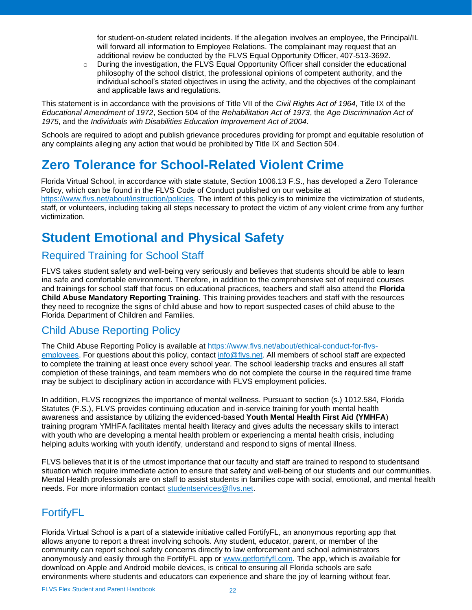for student-on-student related incidents. If the allegation involves an employee, the Principal/IL will forward all information to Employee Relations. The complainant may request that an additional review be conducted by the FLVS Equal Opportunity Officer, 407-513-3692.

 $\circ$  During the investigation, the FLVS Equal Opportunity Officer shall consider the educational philosophy of the school district, the professional opinions of competent authority, and the individual school's stated objectives in using the activity, and the objectives of the complainant and applicable laws and regulations.

This statement is in accordance with the provisions of Title VII of the *Civil Rights Act of 1964*, Title IX of the *Educational Amendment of 1972*, Section 504 of the *Rehabilitation Act of 1973*, the *Age Discrimination Act of 1975*, and the *Individuals with Disabilities Education Improvement Act of 2004*.

Schools are required to adopt and publish grievance procedures providing for prompt and equitable resolution of any complaints alleging any action that would be prohibited by Title IX and Section 504.

## <span id="page-21-0"></span>**Zero Tolerance for School-Related Violent Crime**

Florida Virtual School, in accordance with state statute, Section 1006.13 F.S., has developed a Zero Tolerance Policy, which can be found in the FLVS Code of Conduct published on our website at [https://www.flvs.net/about/instruction/policies.](https://www.flvs.net/about/instruction/policies) The intent of this policy is to minimize the victimization of students, staff, or volunteers, including taking all steps necessary to protect the victim of any violent crime from any further victimization*.*

## <span id="page-21-1"></span>**Student Emotional and Physical Safety**

## <span id="page-21-2"></span>Required Training for School Staff

FLVS takes student safety and well-being very seriously and believes that students should be able to learn ina safe and comfortable environment. Therefore, in addition to the comprehensive set of required courses and trainings for school staff that focus on educational practices, teachers and staff also attend the **Florida Child Abuse Mandatory Reporting Training**. This training provides teachers and staff with the resources they need to recognize the signs of child abuse and how to report suspected cases of child abuse to the Florida Department of Children and Families.

## <span id="page-21-3"></span>Child Abuse Reporting Policy

The Child Abuse Reporting Policy is available at [https://www.flvs.net/about/ethical-conduct-for-flvs](https://www.flvs.net/about/ethical-conduct-for-flvs-employees)[employees. F](https://www.flvs.net/about/ethical-conduct-for-flvs-employees)or questions about this policy, contact [info@flvs.net.](mailto:info@flvs.net) All members of school staff are expected to complete the training at least once every school year. The school leadership tracks and ensures all staff completion of these trainings, and team members who do not complete the course in the required time frame may be subject to disciplinary action in accordance with FLVS employment policies.

In addition, FLVS recognizes the importance of mental wellness. Pursuant to section (s.) 1012.584, Florida Statutes (F.S.), FLVS provides continuing education and in-service training for youth mental health awareness and assistance by utilizing the evidenced-based **Youth Mental Health First Aid (YMHFA**) training program YMHFA facilitates mental health literacy and gives adults the necessary skills to interact with youth who are developing a mental health problem or experiencing a mental health crisis, including helping adults working with youth identify, understand and respond to signs of mental illness.

FLVS believes that it is of the utmost importance that our faculty and staff are trained to respond to studentsand situation which require immediate action to ensure that safety and well-being of our students and our communities. Mental Health professionals are on staff to assist students in families cope with social, emotional, and mental health needs. For more information contact [studentservices@flvs.net.](mailto:studentservices@flvs.net)

## <span id="page-21-4"></span>FortifyFL

Florida Virtual School is a part of a statewide initiative called FortifyFL, an anonymous reporting app that allows anyone to report a threat involving schools. Any student, educator, parent, or member of the community can report school safety concerns directly to law enforcement and school administrators anonymously and easily through the FortifyFL app or [www.getfortifyfl.com. T](https://www.getfortifyfl.com/)he app, which is available for download on Apple and Android mobile devices, is critical to ensuring all Florida schools are safe environments where students and educators can experience and share the joy of learning without fear.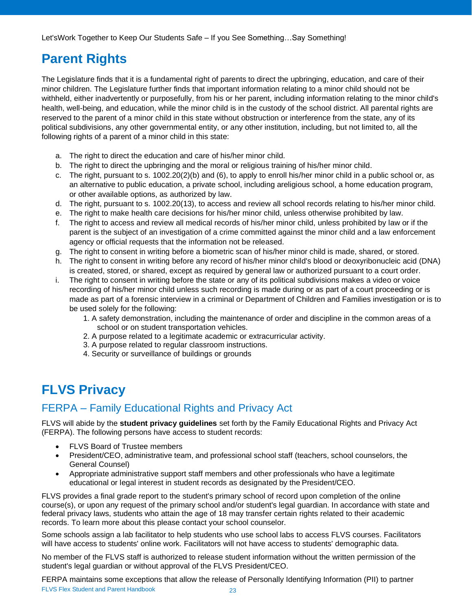## <span id="page-22-0"></span>**Parent Rights**

The Legislature finds that it is a fundamental right of parents to direct the upbringing, education, and care of their minor children. The Legislature further finds that important information relating to a minor child should not be withheld, either inadvertently or purposefully, from his or her parent, including information relating to the minor child's health, well-being, and education, while the minor child is in the custody of the school district. All parental rights are reserved to the parent of a minor child in this state without obstruction or interference from the state, any of its political subdivisions, any other governmental entity, or any other institution, including, but not limited to, all the following rights of a parent of a minor child in this state:

- a. The right to direct the education and care of his/her minor child.
- b. The right to direct the upbringing and the moral or religious training of his/her minor child.
- c. The right, pursuant to s. 1002.20(2)(b) and (6), to apply to enroll his/her minor child in a public school or, as an alternative to public education, a private school, including areligious school, a home education program, or other available options, as authorized by law.
- d. The right, pursuant to s. 1002.20(13), to access and review all school records relating to his/her minor child.
- e. The right to make health care decisions for his/her minor child, unless otherwise prohibited by law.
- f. The right to access and review all medical records of his/her minor child, unless prohibited by law or if the parent is the subject of an investigation of a crime committed against the minor child and a law enforcement agency or official requests that the information not be released.
- g. The right to consent in writing before a biometric scan of his/her minor child is made, shared, or stored.
- h. The right to consent in writing before any record of his/her minor child's blood or deoxyribonucleic acid (DNA) is created, stored, or shared, except as required by general law or authorized pursuant to a court order.
- i. The right to consent in writing before the state or any of its political subdivisions makes a video or voice recording of his/her minor child unless such recording is made during or as part of a court proceeding or is made as part of a forensic interview in a criminal or Department of Children and Families investigation or is to be used solely for the following:
	- 1. A safety demonstration, including the maintenance of order and discipline in the common areas of a school or on student transportation vehicles.
	- 2. A purpose related to a legitimate academic or extracurricular activity.
	- 3. A purpose related to regular classroom instructions.
	- 4. Security or surveillance of buildings or grounds

## <span id="page-22-1"></span>**FLVS Privacy**

## <span id="page-22-2"></span>FERPA – Family Educational Rights and Privacy Act

FLVS will abide by the **student privacy guidelines** set forth by the Family Educational Rights and Privacy Act (FERPA). The following persons have access to student records:

- FLVS Board of Trustee members
- President/CEO, administrative team, and professional school staff (teachers, school counselors, the General Counsel)
- Appropriate administrative support staff members and other professionals who have a legitimate educational or legal interest in student records as designated by the President/CEO.

FLVS provides a final grade report to the student's primary school of record upon completion of the online course(s), or upon any request of the primary school and/or student's legal guardian. In accordance with state and federal privacy laws, students who attain the age of 18 may transfer certain rights related to their academic records. To learn more about this please contact your school counselor.

Some schools assign a lab facilitator to help students who use school labs to access FLVS courses. Facilitators will have access to students' online work. Facilitators will not have access to students' demographic data.

No member of the FLVS staff is authorized to release student information without the written permission of the student's legal guardian or without approval of the FLVS President/CEO.

FLVS Flex Student and Parent Handbook 23 FERPA maintains some exceptions that allow the release of Personally Identifying Information (PII) to partner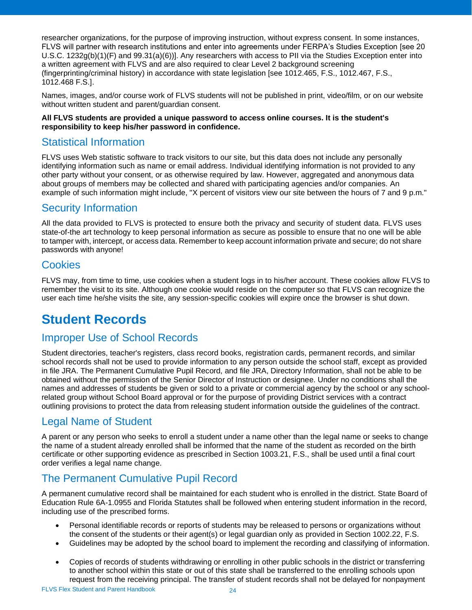researcher organizations, for the purpose of improving instruction, without express consent. In some instances, FLVS will partner with research institutions and enter into agreements under FERPA's Studies Exception [see 20 U.S.C. 1232g(b)(1)(F) and 99.31(a)(6))]. Any researchers with access to PII via the Studies Exception enter into a written agreement with FLVS and are also required to clear Level 2 background screening (fingerprinting/criminal history) in accordance with state legislation [see 1012.465, F.S., 1012.467, F.S., 1012.468 F.S.].

Names, images, and/or course work of FLVS students will not be published in print, video/film, or on our website without written student and parent/guardian consent.

#### **All FLVS students are provided a unique password to access online courses. It is the student's responsibility to keep his/her password in confidence.**

### <span id="page-23-0"></span>Statistical Information

FLVS uses Web statistic software to track visitors to our site, but this data does not include any personally identifying information such as name or email address. Individual identifying information is not provided to any other party without your consent, or as otherwise required by law. However, aggregated and anonymous data about groups of members may be collected and shared with participating agencies and/or companies. An example of such information might include, "X percent of visitors view our site between the hours of 7 and 9 p.m."

#### <span id="page-23-1"></span>Security Information

All the data provided to FLVS is protected to ensure both the privacy and security of student data. FLVS uses state-of-the art technology to keep personal information as secure as possible to ensure that no one will be able to tamper with, intercept, or access data. Remember to keep account information private and secure; do not share passwords with anyone!

#### <span id="page-23-2"></span>**Cookies**

FLVS may, from time to time, use cookies when a student logs in to his/her account. These cookies allow FLVS to remember the visit to its site. Although one cookie would reside on the computer so that FLVS can recognize the user each time he/she visits the site, any session-specific cookies will expire once the browser is shut down.

## <span id="page-23-3"></span>**Student Records**

## <span id="page-23-4"></span>Improper Use of School Records

Student directories, teacher's registers, class record books, registration cards, permanent records, and similar school records shall not be used to provide information to any person outside the school staff, except as provided in file JRA. The Permanent Cumulative Pupil Record, and file JRA, Directory Information, shall not be able to be obtained without the permission of the Senior Director of Instruction or designee. Under no conditions shall the names and addresses of students be given or sold to a private or commercial agency by the school or any schoolrelated group without School Board approval or for the purpose of providing District services with a contract outlining provisions to protect the data from releasing student information outside the guidelines of the contract.

## <span id="page-23-5"></span>Legal Name of Student

A parent or any person who seeks to enroll a student under a name other than the legal name or seeks to change the name of a student already enrolled shall be informed that the name of the student as recorded on the birth certificate or other supporting evidence as prescribed in Section 1003.21, F.S., shall be used until a final court order verifies a legal name change.

### <span id="page-23-6"></span>The Permanent Cumulative Pupil Record

A permanent cumulative record shall be maintained for each student who is enrolled in the district. State Board of Education Rule 6A-1.0955 and Florida Statutes shall be followed when entering student information in the record, including use of the prescribed forms.

- Personal identifiable records or reports of students may be released to persons or organizations without the consent of the students or their agent(s) or legal guardian only as provided in Section 1002.22, F.S.
- Guidelines may be adopted by the school board to implement the recording and classifying of information.
- Copies of records of students withdrawing or enrolling in other public schools in the district or transferring to another school within this state or out of this state shall be transferred to the enrolling schools upon request from the receiving principal. The transfer of student records shall not be delayed for nonpayment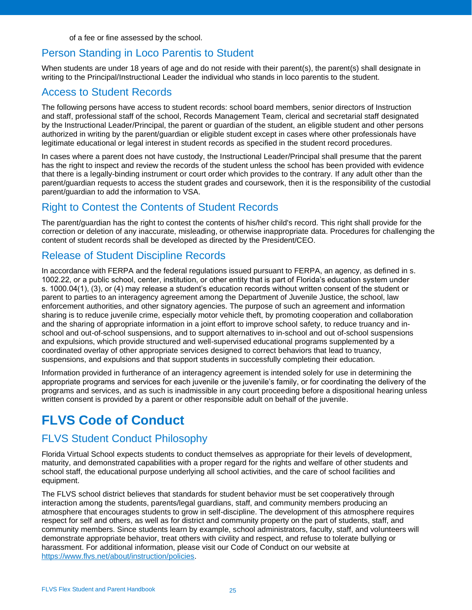of a fee or fine assessed by the school.

#### <span id="page-24-0"></span>Person Standing in Loco Parentis to Student

When students are under 18 years of age and do not reside with their parent(s), the parent(s) shall designate in writing to the Principal/Instructional Leader the individual who stands in loco parentis to the student.

#### <span id="page-24-1"></span>Access to Student Records

The following persons have access to student records: school board members, senior directors of Instruction and staff, professional staff of the school, Records Management Team, clerical and secretarial staff designated by the Instructional Leader/Principal, the parent or guardian of the student, an eligible student and other persons authorized in writing by the parent/guardian or eligible student except in cases where other professionals have legitimate educational or legal interest in student records as specified in the student record procedures.

In cases where a parent does not have custody, the Instructional Leader/Principal shall presume that the parent has the right to inspect and review the records of the student unless the school has been provided with evidence that there is a legally-binding instrument or court order which provides to the contrary. If any adult other than the parent/guardian requests to access the student grades and coursework, then it is the responsibility of the custodial parent/guardian to add the information to VSA.

## <span id="page-24-2"></span>Right to Contest the Contents of Student Records

The parent/guardian has the right to contest the contents of his/her child's record. This right shall provide for the correction or deletion of any inaccurate, misleading, or otherwise inappropriate data. Procedures for challenging the content of student records shall be developed as directed by the President/CEO.

#### <span id="page-24-3"></span>Release of Student Discipline Records

In accordance with FERPA and the federal regulations issued pursuant to FERPA, an agency, as defined in s. 1002.22, or a public school, center, institution, or other entity that is part of Florida's education system under s. 1000.04(1), (3), or (4) may release a student's education records without written consent of the student or parent to parties to an interagency agreement among the Department of Juvenile Justice, the school, law enforcement authorities, and other signatory agencies. The purpose of such an agreement and information sharing is to reduce juvenile crime, especially motor vehicle theft, by promoting cooperation and collaboration and the sharing of appropriate information in a joint effort to improve school safety, to reduce truancy and inschool and out-of-school suspensions, and to support alternatives to in-school and out of-school suspensions and expulsions, which provide structured and well-supervised educational programs supplemented by a coordinated overlay of other appropriate services designed to correct behaviors that lead to truancy, suspensions, and expulsions and that support students in successfully completing their education.

Information provided in furtherance of an interagency agreement is intended solely for use in determining the appropriate programs and services for each juvenile or the juvenile's family, or for coordinating the delivery of the programs and services, and as such is inadmissible in any court proceeding before a dispositional hearing unless written consent is provided by a parent or other responsible adult on behalf of the juvenile.

## <span id="page-24-4"></span>**FLVS Code of Conduct**

## <span id="page-24-5"></span>FLVS Student Conduct Philosophy

Florida Virtual School expects students to conduct themselves as appropriate for their levels of development, maturity, and demonstrated capabilities with a proper regard for the rights and welfare of other students and school staff, the educational purpose underlying all school activities, and the care of school facilities and equipment.

The FLVS school district believes that standards for student behavior must be set cooperatively through interaction among the students, parents/legal guardians, staff, and community members producing an atmosphere that encourages students to grow in self-discipline. The development of this atmosphere requires respect for self and others, as well as for district and community property on the part of students, staff, and community members. Since students learn by example, school administrators, faculty, staff, and volunteers will demonstrate appropriate behavior, treat others with civility and respect, and refuse to tolerate bullying or harassment. For additional information, please visit our Code of Conduct on our website at [https://www.flvs.net/about/instruction/policies.](https://www.flvs.net/about/instruction/policies)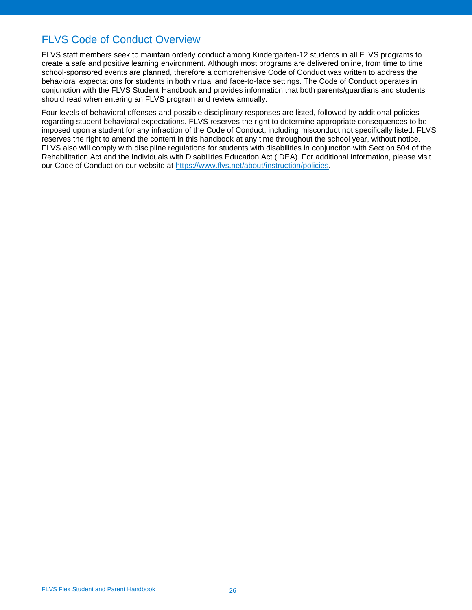## <span id="page-25-0"></span>FLVS Code of Conduct Overview

FLVS staff members seek to maintain orderly conduct among Kindergarten-12 students in all FLVS programs to create a safe and positive learning environment. Although most programs are delivered online, from time to time school-sponsored events are planned, therefore a comprehensive Code of Conduct was written to address the behavioral expectations for students in both virtual and face-to-face settings. The Code of Conduct operates in conjunction with the FLVS Student Handbook and provides information that both parents/guardians and students should read when entering an FLVS program and review annually.

Four levels of behavioral offenses and possible disciplinary responses are listed, followed by additional policies regarding student behavioral expectations. FLVS reserves the right to determine appropriate consequences to be imposed upon a student for any infraction of the Code of Conduct, including misconduct not specifically listed. FLVS reserves the right to amend the content in this handbook at any time throughout the school year, without notice. FLVS also will comply with discipline regulations for students with disabilities in conjunction with Section 504 of the Rehabilitation Act and the Individuals with Disabilities Education Act (IDEA). For additional information, please visit our Code of Conduct on our website at [https://www.flvs.net/about/instruction/policies.](https://www.flvs.net/about/instruction/policies)